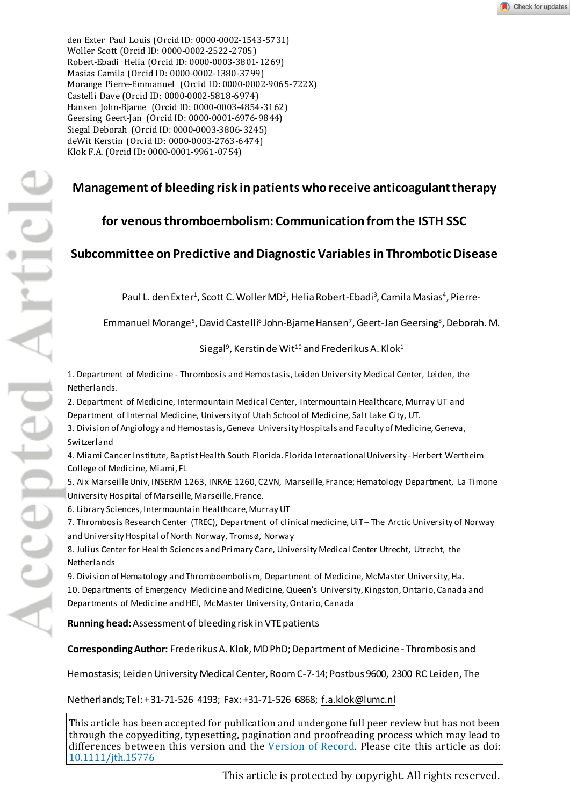den Exter Paul Louis (Orcid ID: [0000-0002-1543-5731\)](http://orcid.org/0000-0002-1543-5731)  Woller Scott (Orcid ID: [0000-0002-2522-2705\)](http://orcid.org/0000-0002-2522-2705)  Robert-Ebadi Helia (Orcid ID[: 0000-0003-3801-1269\)](http://orcid.org/0000-0003-3801-1269)  Masias Camila (Orcid ID: [0000-0002-1380-3799\)](http://orcid.org/0000-0002-1380-3799)  Morange Pierre-Emmanuel (Orcid ID: [0000-0002-9065-722X\)](http://orcid.org/0000-0002-9065-722X)  Castelli Dave (Orcid ID: [0000-0002-5818-6974\)](http://orcid.org/0000-0002-5818-6974)  Hansen John-Bjarne (Orcid ID: [0000-0003-4854-3162\)](http://orcid.org/0000-0003-4854-3162)  Geersing Geert-Jan (Orcid ID: [0000-0001-6976-9844\)](http://orcid.org/0000-0001-6976-9844)  Siegal Deborah (Orcid ID: [0000-0003-3806-3245\)](http://orcid.org/0000-0003-3806-3245)  deWit Kerstin (Orcid ID: [0000-0003-2763-6474\)](http://orcid.org/0000-0003-2763-6474)  Klok F.A. (Orcid ID[: 0000-0001-9961-0754\)](http://orcid.org/0000-0001-9961-0754) 

# **Management of bleeding risk in patients who receive anticoagulant therapy**

# **for venous thromboembolism: Communication from the ISTH SSC**

# **Subcommittee on Predictive and Diagnostic Variablesin Thrombotic Disease**

Paul L. den Exter<sup>1</sup>, Scott C. Woller MD<sup>2</sup>, Helia Robert-Ebadi<sup>3</sup>, Camila Masias<sup>4</sup>, Pierre-

Emmanuel Morange<sup>5</sup>, David Castelli<sup>6</sup> John-Bjarne Hansen<sup>7</sup>, Geert-Jan Geersing<sup>8</sup>, Deborah. M.

Siegal<sup>9</sup>, Kerstin de Wit<sup>10</sup> and Frederikus A. Klok<sup>1</sup>

1. Department of Medicine - Thrombosis and Hemostasis, Leiden University Medical Center, Leiden, the Netherlands.

2. Department of Medicine, Intermountain Medical Center, Intermountain Healthcare, Murray UT and Department of Internal Medicine, University of Utah School of Medicine, Salt Lake City, UT.

3. Division of Angiology and Hemostasis, Geneva University Hospitals and Faculty of Medicine, Geneva, Switzerland

4. Miami Cancer Institute, Baptist Health South Florida. Florida International University - Herbert Wertheim College of Medicine, Miami, FL

5. Aix Marseille Univ, INSERM 1263, INRAE 1260, C2VN, Marseille, France; Hematology Department, La Timone University Hospital of Marseille, Marseille, France.

6. Library Sciences, Intermountain Healthcare, Murray UT

7. Thrombosis Research Center (TREC), Department of clinical medicine, UiT – The Arctic University of Norway and University Hospital of North Norway, Tromsø, Norway

8. Julius Center for Health Sciences and Primary Care, University Medical Center Utrecht, Utrecht, the Netherlands

9. Division of Hematology and Thromboembolism, Department of Medicine, McMaster University, Ha. 10. Departments of Emergency Medicine and Medicine, Queen's University, Kingston, Ontario, Canada and Departments of Medicine and HEI, McMaster University, Ontario, Canada

**Running head:**Assessment of bleeding risk in VTE patients

**Corresponding Author:** Frederikus A. Klok, MD PhD; Department of Medicine - Thrombosis and

Hemostasis; Leiden University Medical Center, Room C-7-14; Postbus 9600, 2300 RC Leiden, The

Netherlands; Tel: + 31-71-526 4193; Fax: +31-71-526 6868; [f.a.klok@lumc.nl](mailto:f.a.klok@lumc.nl)

This article has been accepted for publication and undergone full peer review but has not been through the copyediting, typesetting, pagination and proofreading process which may lead to differences between this version and the [Version of Record.](http://dx.doi.org/10.1111/jth.15776) Please cite this article as doi: [10.1111/jth.15776](http://dx.doi.org/10.1111/jth.15776)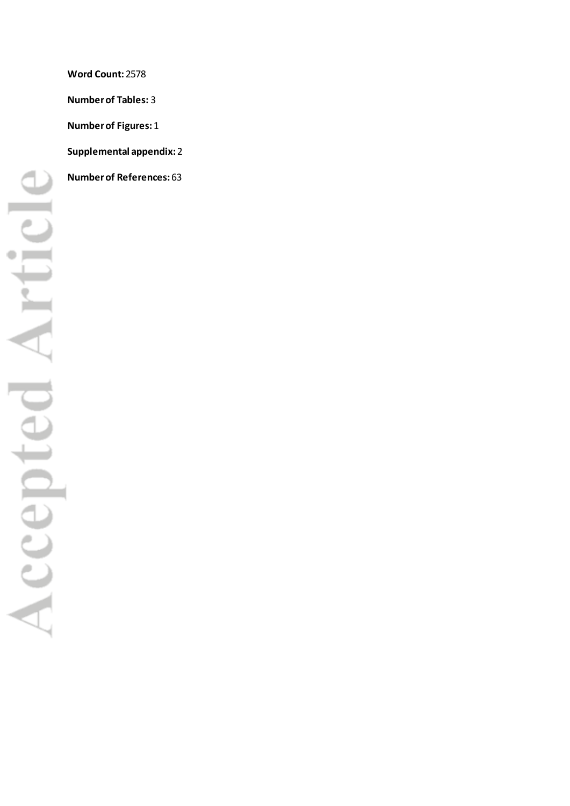**Word Count:**2578 **Number of Tables:** 3 **Number of Figures:**1 **Supplemental appendix:**2 **Number of References:**63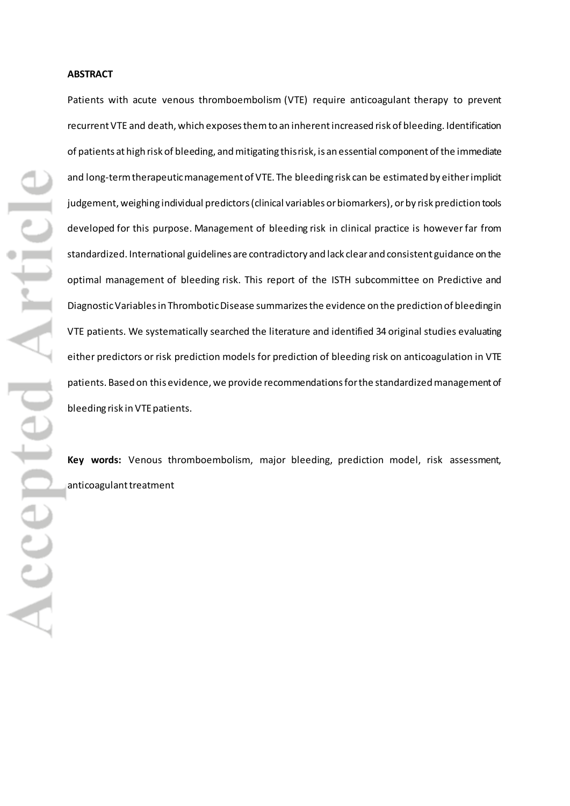Patients with acute venous thromboembolism (VTE) require anticoagulant therapy to prevent recurrent VTE and death, which exposes them to an inherent increased risk of bleeding. Identification of patients at high risk of bleeding, and mitigating this risk, is an essential component of the immediate and long-term therapeutic management of VTE. The bleeding risk can be estimated by either implicit judgement, weighing individual predictors(clinical variables or biomarkers), or by risk prediction tools developed for this purpose. Management of bleeding risk in clinical practice is however far from standardized. International guidelines are contradictory and lack clear and consistent guidance on the optimal management of bleeding risk. This report of the ISTH subcommittee on Predictive and Diagnostic Variables in Thrombotic Disease summarizesthe evidence on the prediction of bleeding in VTE patients. We systematically searched the literature and identified 34 original studies evaluating either predictors or risk prediction models for prediction of bleeding risk on anticoagulation in VTE patients. Based on this evidence, we provide recommendations for the standardized management of bleeding risk in VTE patients.

**Key words:** Venous thromboembolism, major bleeding, prediction model, risk assessment, anticoagulant treatment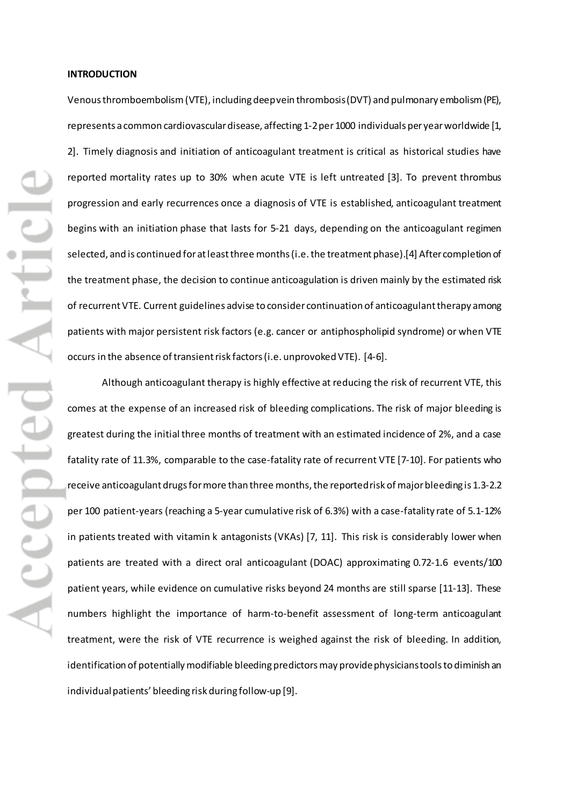### **INTRODUCTION**

Venous thromboembolism (VTE), including deep vein thrombosis (DVT) and pulmonary embolism (PE), represents a common cardiovascular disease, affecting 1-2 per 1000 individuals per year worldwide [1, 2]. Timely diagnosis and initiation of anticoagulant treatment is critical as historical studies have reported mortality rates up to 30% when acute VTE is left untreated [3]. To prevent thrombus progression and early recurrences once a diagnosis of VTE is established, anticoagulant treatment begins with an initiation phase that lasts for 5-21 days, depending on the anticoagulant regimen selected, and is continued for at least three months (i.e. the treatment phase).[4] After completion of the treatment phase, the decision to continue anticoagulation is driven mainly by the estimated risk of recurrent VTE. Current guidelines advise to consider continuation of anticoagulant therapy among patients with major persistent risk factors (e.g. cancer or antiphospholipid syndrome) or when VTE occurs in the absence of transient risk factors (i.e. unprovoked VTE). [4-6].

Although anticoagulant therapy is highly effective at reducing the risk of recurrent VTE, this comes at the expense of an increased risk of bleeding complications. The risk of major bleeding is greatest during the initial three months of treatment with an estimated incidence of 2%, and a case fatality rate of 11.3%, comparable to the case-fatality rate of recurrent VTE [7-10]. For patients who receive anticoagulant drugs for more than three months, the reported risk of major bleeding is 1.3-2.2 per 100 patient-years (reaching a 5-year cumulative risk of 6.3%) with a case-fatality rate of 5.1-12% in patients treated with vitamin k antagonists (VKAs) [7, 11]. This risk is considerably lower when patients are treated with a direct oral anticoagulant (DOAC) approximating 0.72-1.6 events/100 patient years, while evidence on cumulative risks beyond 24 months are still sparse [11-13]. These numbers highlight the importance of harm-to-benefit assessment of long-term anticoagulant treatment, were the risk of VTE recurrence is weighed against the risk of bleeding. In addition, identification of potentially modifiable bleeding predictorsmay provide physicianstools to diminish an individual patients' bleeding risk during follow-up [9].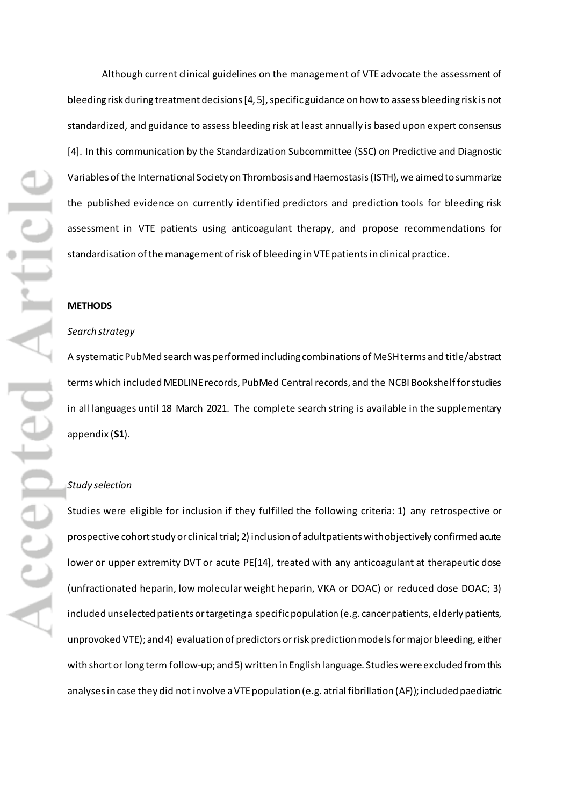Although current clinical guidelines on the management of VTE advocate the assessment of bleeding risk during treatment decisions [4, 5], specific guidance on how to assess bleeding risk is not standardized, and guidance to assess bleeding risk at least annually is based upon expert consensus [4]. In this communication by the Standardization Subcommittee (SSC) on Predictive and Diagnostic Variables of the International Society on Thrombosis and Haemostasis(ISTH), we aimed to summarize the published evidence on currently identified predictors and prediction tools for bleeding risk assessment in VTE patients using anticoagulant therapy, and propose recommendations for standardisation of the management of risk of bleeding in VTE patients in clinical practice.

#### **METHODS**

#### *Search strategy*

A systematicPubMed search was performed including combinations of MeSH terms and title/abstract terms which included MEDLINE records, PubMed Central records, and the NCBI Bookshelf for studies in all languages until 18 March 2021. The complete search string is available in the supplementary appendix (**S1**).

## *Study selection*

Studies were eligible for inclusion if they fulfilled the following criteria: 1) any retrospective or prospective cohort study or clinical trial; 2) inclusion of adult patients withobjectively confirmed acute lower or upper extremity DVT or acute PE[14], treated with any anticoagulant at therapeutic dose (unfractionated heparin, low molecular weight heparin, VKA or DOAC) or reduced dose DOAC; 3) included unselected patients or targeting a specific population (e.g. cancer patients, elderly patients, unprovoked VTE); and 4) evaluation of predictors or risk prediction modelsfor major bleeding, either with short or long term follow-up; and 5) written in English language. Studies were excluded from this analysesin case they did not involve a VTE population (e.g. atrial fibrillation (AF)); included paediatric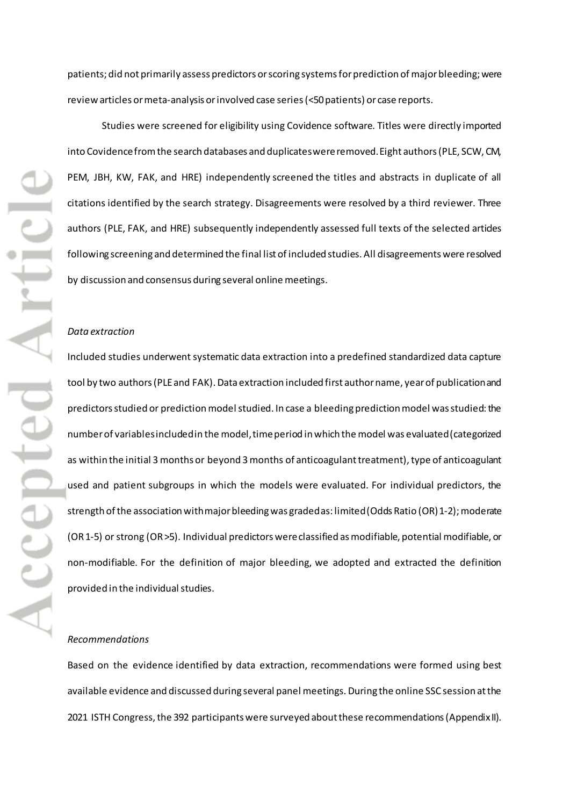patients; did not primarily assess predictors or scoring systems forprediction of majorbleeding; were review articles or meta-analysis or involved case series (<50 patients) or case reports.

Studies were screened for eligibility using Covidence software. Titles were directly imported into Covidence from the search databases and duplicates were removed. Eight authors(PLE, SCW, CM, PEM, JBH, KW, FAK, and HRE) independently screened the titles and abstracts in duplicate of all citations identified by the search strategy. Disagreements were resolved by a third reviewer. Three authors (PLE, FAK, and HRE) subsequently independently assessed full texts of the selected articles following screening and determined the final list of included studies. All disagreements were resolved by discussion and consensus during several online meetings.

# *Data extraction*

Included studies underwent systematic data extraction into a predefined standardized data capture tool by two authors (PLE and FAK). Data extraction included first author name, year of publicationand predictorsstudied or prediction model studied. In case a bleeding prediction model was studied: the number of variables included in the model, time period in which the model was evaluated (categorized as within the initial 3 months or beyond 3 months of anticoagulant treatment), type of anticoagulant used and patient subgroups in which the models were evaluated. For individual predictors, the strength of the association with major bleeding was graded as: limited (Odds Ratio (OR) 1-2); moderate (OR 1-5) or strong (OR >5). Individual predictorswere classified as modifiable, potential modifiable, or non-modifiable. For the definition of major bleeding, we adopted and extracted the definition provided in the individual studies.

# *Recommendations*

Based on the evidence identified by data extraction, recommendations were formed using best available evidence and discussed during several panel meetings. During the online SSC session at the 2021 ISTH Congress, the 392 participants were surveyed about these recommendations(Appendix II).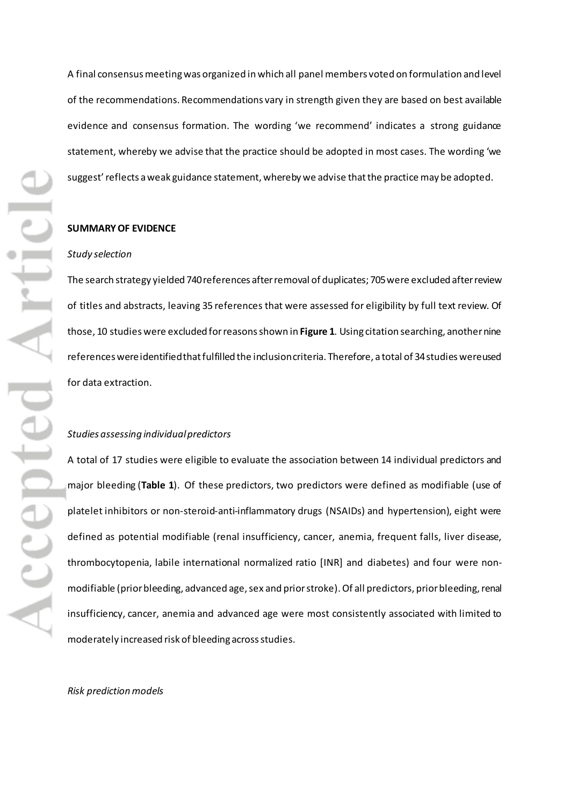A final consensus meeting was organized in which all panel members voted on formulation and level of the recommendations. Recommendations vary in strength given they are based on best available evidence and consensus formation. The wording 'we recommend' indicates a strong guidance statement, whereby we advise that the practice should be adopted in most cases. The wording 'we suggest' reflects a weak guidance statement, whereby we advise that the practice may be adopted.

#### **SUMMARY OF EVIDENCE**

#### *Study selection*

The search strategy yielded 740 references after removal of duplicates; 705 were excluded after review of titles and abstracts, leaving 35 references that were assessed for eligibility by full text review. Of those, 10 studies were excluded for reasons shown in **Figure 1**. Using citation searching, another nine references were identified that fulfilled the inclusion criteria. Therefore, a total of 34studies were used for data extraction.

## *Studies assessing individual predictors*

A total of 17 studies were eligible to evaluate the association between 14 individual predictors and major bleeding (**Table 1**). Of these predictors, two predictors were defined as modifiable (use of platelet inhibitors or non-steroid-anti-inflammatory drugs (NSAIDs) and hypertension), eight were defined as potential modifiable (renal insufficiency, cancer, anemia, frequent falls, liver disease, thrombocytopenia, labile international normalized ratio [INR] and diabetes) and four were nonmodifiable (prior bleeding, advanced age, sex and prior stroke).Of all predictors, prior bleeding, renal insufficiency, cancer, anemia and advanced age were most consistently associated with limited to moderately increased risk of bleeding across studies.

## *Risk prediction models*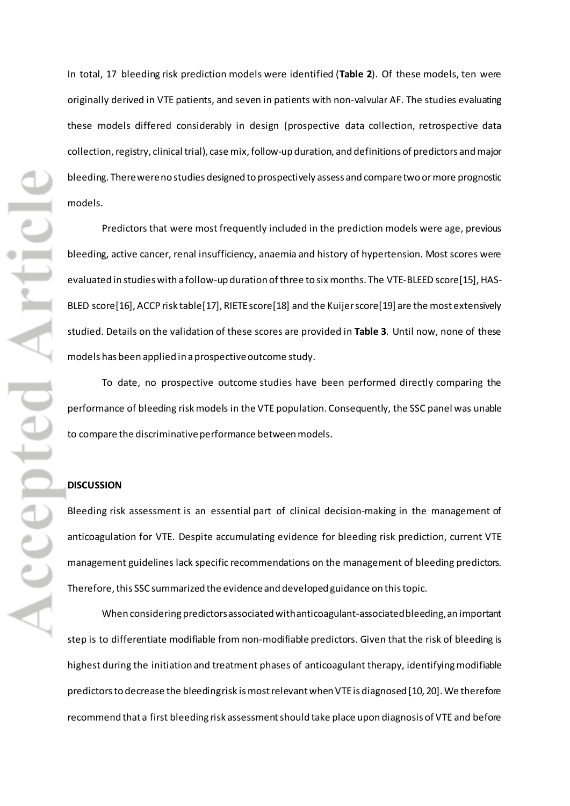In total, 17 bleeding risk prediction models were identified (**Table 2**). Of these models, ten were originally derived in VTE patients, and seven in patients with non-valvular AF. The studies evaluating these models differed considerably in design (prospective data collection, retrospective data collection, registry, clinical trial), case mix, follow-up duration, and definitions of predictors and major bleeding. There were no studies designed to prospectively assess and compare two or more prognostic models.

Predictors that were most frequently included in the prediction models were age, previous bleeding, active cancer, renal insufficiency, anaemia and history of hypertension. Most scores were evaluated in studies with a follow-up duration of three to six months. The VTE-BLEED score[15], HAS-BLED score[16], ACCP risk table[17], RIETE score[18] and the Kuijer score[19] are the most extensively studied. Details on the validation of these scores are provided in **Table 3**. Until now, none of these models has been applied in a prospective outcome study.

To date, no prospective outcome studies have been performed directly comparing the performance of bleeding risk models in the VTE population. Consequently, the SSC panel was unable to compare the discriminative performance between models.

## **DISCUSSION**

Bleeding risk assessment is an essential part of clinical decision-making in the management of anticoagulation for VTE. Despite accumulating evidence for bleeding risk prediction, current VTE management guidelines lack specific recommendations on the management of bleeding predictors. Therefore, this SSC summarized the evidence and developed guidance on this topic.

When considering predictorsassociated with anticoagulant-associated bleeding, an important step is to differentiate modifiable from non-modifiable predictors. Given that the risk of bleeding is highest during the initiation and treatment phases of anticoagulant therapy, identifyingmodifiable predictorsto decrease the bleeding risk is most relevantwhen VTE is diagnosed [10, 20].We therefore recommend that a first bleeding risk assessment should take place upon diagnosis of VTE and before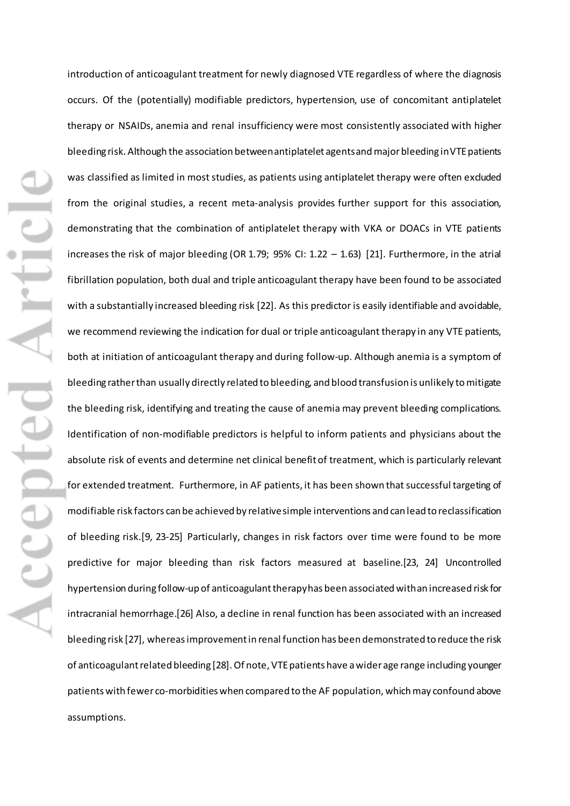introduction of anticoagulant treatment for newly diagnosed VTE regardless of where the diagnosis occurs. Of the (potentially) modifiable predictors, hypertension, use of concomitant antiplatelet therapy or NSAIDs, anemia and renal insufficiency were most consistently associated with higher bleeding risk. Although the association between antiplatelet agents and major bleeding in VTE patients was classified as limited in most studies, as patients using antiplatelet therapy were often excluded from the original studies, a recent meta-analysis provides further support for this association, demonstrating that the combination of antiplatelet therapy with VKA or DOACs in VTE patients increases the risk of major bleeding (OR 1.79; 95% CI: 1.22 – 1.63) [21]. Furthermore, in the atrial fibrillation population, both dual and triple anticoagulant therapy have been found to be associated with a substantially increased bleeding risk [22]. As this predictor is easily identifiable and avoidable, we recommend reviewing the indication for dual or triple anticoagulant therapy in any VTE patients, both at initiation of anticoagulant therapy and during follow-up. Although anemia is a symptom of bleeding rather than usually directly related to bleeding, and blood transfusion is unlikely to mitigate the bleeding risk, identifying and treating the cause of anemia may prevent bleeding complications. Identification of non-modifiable predictors is helpful to inform patients and physicians about the absolute risk of events and determine net clinical benefit of treatment, which is particularly relevant for extended treatment. Furthermore, in AF patients, it has been shown that successful targeting of modifiable risk factors can be achieved by relative simple interventions and can lead to reclassification of bleeding risk.[9, 23-25] Particularly, changes in risk factors over time were found to be more predictive for major bleeding than risk factors measured at baseline.[23, 24] Uncontrolled hypertension during follow-up of anticoagulant therapy has been associated with an increased risk for intracranial hemorrhage.[26] Also, a decline in renal function has been associated with an increased bleeding risk [27], whereas improvement in renal function has been demonstrated to reduce the risk of anticoagulant related bleeding [28]. Of note, VTE patients have a wider age range including younger patientswith fewer co-morbidities when compared to the AF population, which may confound above assumptions.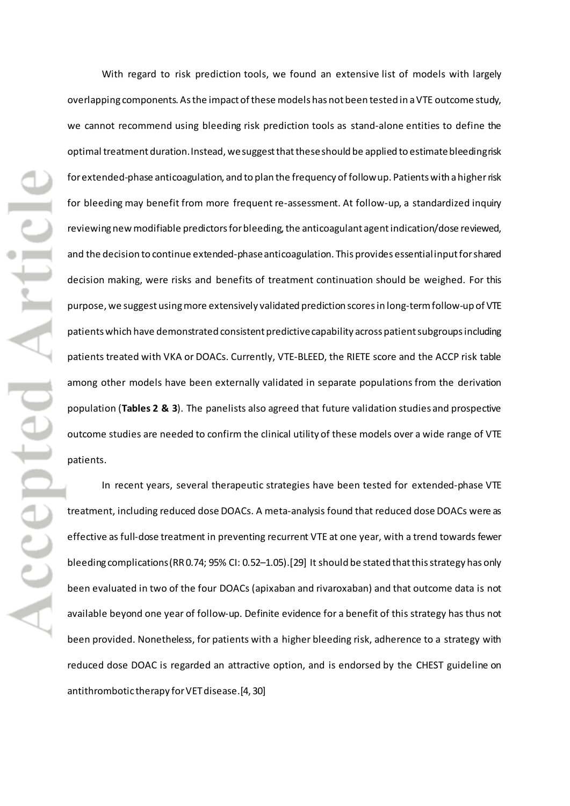With regard to risk prediction tools, we found an extensive list of models with largely overlapping components. As the impact of these models has not been tested in a VTE outcome study, we cannot recommend using bleeding risk prediction tools as stand-alone entities to define the optimal treatment duration. Instead, we suggest that these should be applied to estimate bleeding risk forextended-phase anticoagulation, and to plan the frequency of follow up. Patients with a higher risk for bleeding may benefit from more frequent re-assessment. At follow-up, a standardized inquiry reviewing new modifiable predictors for bleeding, the anticoagulant agent indication/dose reviewed, and the decision to continue extended-phaseanticoagulation. This provides essential input for shared decision making, were risks and benefits of treatment continuation should be weighed. For this purpose, we suggest using more extensively validated prediction scores in long-term follow-up of VTE patientswhich have demonstrated consistent predictive capability across patient subgroupsincluding patients treated with VKA or DOACs. Currently, VTE-BLEED, the RIETE score and the ACCP risk table among other models have been externally validated in separate populations from the derivation population (**Tables 2 & 3**). The panelists also agreed that future validation studies and prospective outcome studies are needed to confirm the clinical utility of these models over a wide range of VTE patients.

In recent years, several therapeutic strategies have been tested for extended-phase VTE treatment, including reduced dose DOACs. A meta-analysis found that reduced dose DOACs were as effective as full-dose treatment in preventing recurrent VTE at one year, with a trend towards fewer bleeding complications (RR 0.74; 95% CI: 0.52–1.05).[29] It should be stated that this strategy has only been evaluated in two of the four DOACs (apixaban and rivaroxaban) and that outcome data is not available beyond one year of follow-up. Definite evidence for a benefit of this strategy has thus not been provided. Nonetheless, for patients with a higher bleeding risk, adherence to a strategy with reduced dose DOAC is regarded an attractive option, and is endorsed by the CHEST guideline on antithrombotic therapy for VET disease.[4, 30]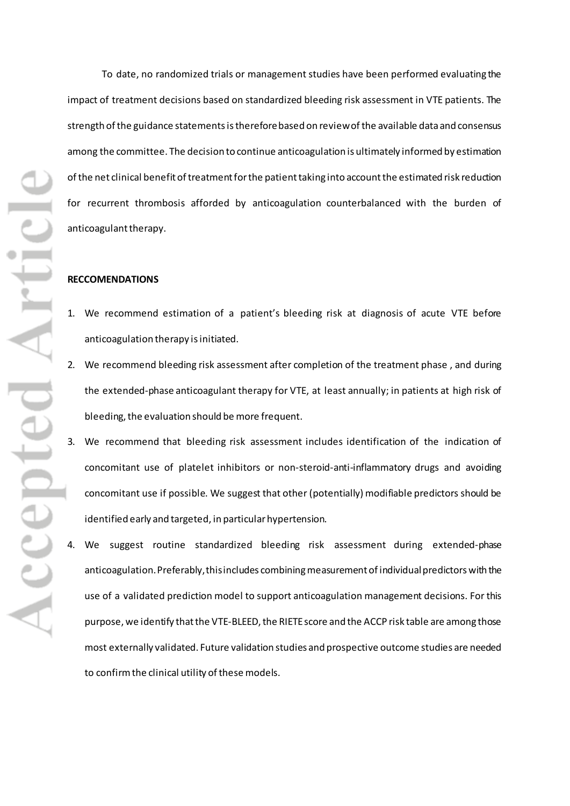epted Artic

To date, no randomized trials or management studies have been performed evaluating the impact of treatment decisions based on standardized bleeding risk assessment in VTE patients. The strength of the guidance statements is therefore based on review of the available data and consensus among the committee. The decision to continue anticoagulation is ultimately informed by estimation of the net clinical benefit of treatment for the patient taking into accountthe estimated risk reduction for recurrent thrombosis afforded by anticoagulation counterbalanced with the burden of anticoagulant therapy.

# **RECCOMENDATIONS**

- 1. We recommend estimation of a patient's bleeding risk at diagnosis of acute VTE before anticoagulation therapy is initiated.
- 2. We recommend bleeding risk assessment after completion of the treatment phase , and during the extended-phase anticoagulant therapy for VTE, at least annually; in patients at high risk of bleeding, the evaluation should be more frequent.
- 3. We recommend that bleeding risk assessment includes identification of the indication of concomitant use of platelet inhibitors or non-steroid-anti-inflammatory drugs and avoiding concomitant use if possible. We suggest that other (potentially) modifiable predictors should be identified early and targeted, in particular hypertension.
- We suggest routine standardized bleeding risk assessment during extended-phase anticoagulation. Preferably, this includes combining measurement of individual predictors with the use of a validated prediction model to support anticoagulation management decisions. For this purpose, we identify that the VTE-BLEED, the RIETE score and the ACCP risk table are among those most externally validated. Future validation studies and prospective outcome studies are needed to confirm the clinical utility of these models.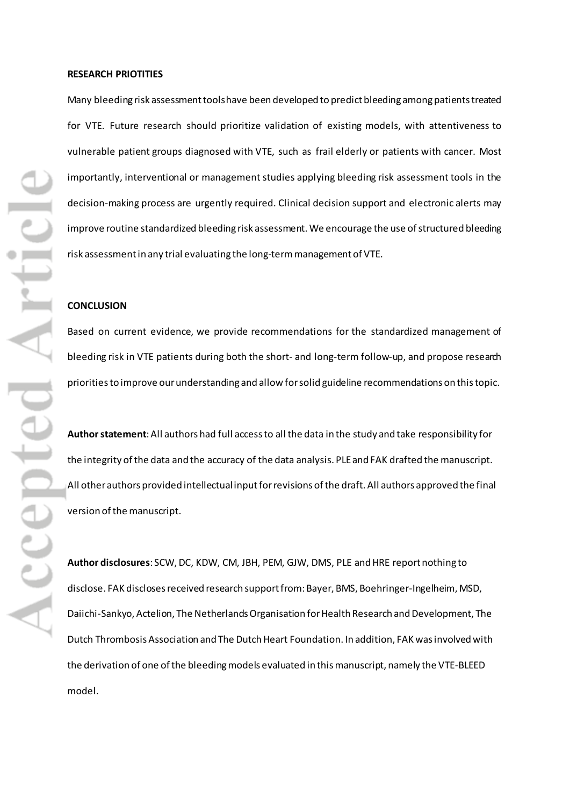### **RESEARCH PRIOTITIES**

Many bleeding risk assessment tools have been developed to predict bleeding among patients treated for VTE. Future research should prioritize validation of existing models, with attentiveness to vulnerable patient groups diagnosed with VTE, such as frail elderly or patients with cancer. Most importantly, interventional or management studies applying bleeding risk assessment tools in the decision-making process are urgently required. Clinical decision support and electronic alerts may improve routine standardized bleeding risk assessment. We encourage the use of structured bleeding risk assessment in any trial evaluating the long-term management of VTE.

#### **CONCLUSION**

Based on current evidence, we provide recommendations for the standardized management of bleeding risk in VTE patients during both the short- and long-term follow-up, and propose research priorities to improve our understanding and allow for solid guideline recommendations on this topic.

**Author statement**: All authors had full access to all the data in the study and take responsibility for the integrity of the data and the accuracy of the data analysis. PLE and FAK drafted the manuscript. All other authors provided intellectual input for revisions of the draft. All authors approved the final version of the manuscript.

**Author disclosures**: SCW, DC, KDW, CM, JBH, PEM, GJW, DMS, PLE andHRE report nothing to disclose. FAK discloses received research support from: Bayer, BMS, Boehringer-Ingelheim, MSD, Daiichi-Sankyo, Actelion, The Netherlands Organisation for Health Research and Development, The Dutch Thrombosis Association and The Dutch Heart Foundation. In addition, FAK was involved with the derivation of one of the bleeding models evaluated in this manuscript, namely the VTE-BLEED model.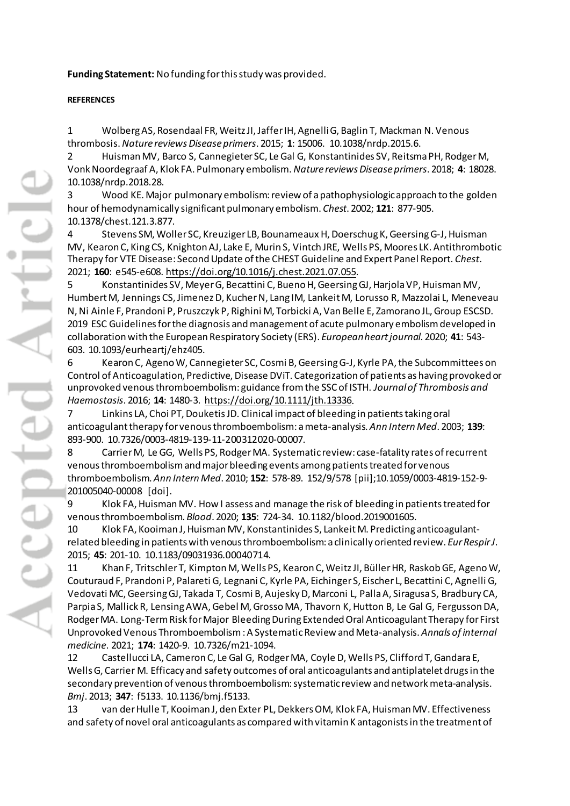**Funding Statement:** No funding for this study was provided.

# **REFERENCES**

1 Wolberg AS, Rosendaal FR, Weitz JI, Jaffer IH, Agnelli G, Baglin T, Mackman N. Venous thrombosis. *Nature reviews Disease primers*. 2015; **1**: 15006. 10.1038/nrdp.2015.6.

2 Huisman MV, Barco S, Cannegieter SC, Le Gal G, Konstantinides SV, Reitsma PH, Rodger M, Vonk Noordegraaf A, Klok FA. Pulmonary embolism. *Nature reviews Disease primers*. 2018; **4**: 18028. 10.1038/nrdp.2018.28.

3 Wood KE. Major pulmonary embolism: review of a pathophysiologic approach to the golden hour of hemodynamically significant pulmonary embolism. *Chest*. 2002; **121**: 877-905. 10.1378/chest.121.3.877.

4 Stevens SM, Woller SC, Kreuziger LB, Bounameaux H, Doerschug K, Geersing G-J, Huisman MV, Kearon C, King CS, Knighton AJ, Lake E, Murin S, Vintch JRE, Wells PS, Moores LK. Antithrombotic Therapy for VTE Disease: Second Update of the CHEST Guideline and Expert Panel Report. *Chest*. 2021; **160**: e545-e608. [https://doi.org/10.1016/j.chest.2021.07.055.](https://doi.org/10.1016/j.chest.2021.07.055)

5 Konstantinides SV, Meyer G, Becattini C, Bueno H, Geersing GJ, Harjola VP, Huisman MV, Humbert M, Jennings CS, Jimenez D, Kucher N, Lang IM, Lankeit M, Lorusso R, Mazzolai L, Meneveau N, Ni Ainle F, Prandoni P, Pruszczyk P, Righini M, Torbicki A, Van Belle E, Zamorano JL, Group ESCSD. 2019 ESC Guidelines for the diagnosis and management of acute pulmonary embolism developed in collaboration with the European Respiratory Society (ERS). *European heart journal*. 2020; **41**: 543- 603. 10.1093/eurheartj/ehz405.

6 Kearon C, Ageno W, Cannegieter SC, Cosmi B, Geersing G-J, Kyrle PA, the Subcommittees on Control of Anticoagulation, Predictive, Disease DViT. Categorization of patients as having provoked or unprovoked venous thromboembolism: guidance from the SSC of ISTH. *Journal of Thrombosis and Haemostasis*. 2016; **14**: 1480-3. [https://doi.org/10.1111/jth.13336.](https://doi.org/10.1111/jth.13336)

7 Linkins LA, Choi PT, Douketis JD. Clinical impact of bleeding in patients taking oral anticoagulant therapy for venous thromboembolism: a meta-analysis. *Ann Intern Med*. 2003; **139**: 893-900. 10.7326/0003-4819-139-11-200312020-00007.

8 Carrier M, Le GG, Wells PS, Rodger MA. Systematic review: case-fatality rates of recurrent venous thromboembolism and major bleeding events among patients treated for venous thromboembolism. *Ann Intern Med*. 2010; **152**: 578-89. 152/9/578 [pii];10.1059/0003-4819-152-9- 201005040-00008 [doi].

9 Klok FA, Huisman MV. How I assess and manage the risk of bleeding in patients treated for venous thromboembolism. *Blood*. 2020; **135**: 724-34. 10.1182/blood.2019001605.

10 Klok FA, Kooiman J, Huisman MV, Konstantinides S, Lankeit M. Predicting anticoagulantrelated bleeding in patients with venous thromboembolism: a clinically oriented review. *Eur Respir J*. 2015; **45**: 201-10. 10.1183/09031936.00040714.

11 Khan F, Tritschler T, Kimpton M, Wells PS, Kearon C, Weitz JI, Büller HR, Raskob GE, Ageno W, Couturaud F, Prandoni P, Palareti G, Legnani C, Kyrle PA, Eichinger S, Eischer L, Becattini C, Agnelli G, Vedovati MC, Geersing GJ, Takada T, Cosmi B, Aujesky D, Marconi L, Palla A, Siragusa S, Bradbury CA, Parpia S, Mallick R, Lensing AWA, Gebel M, Grosso MA, Thavorn K, Hutton B, Le Gal G, Fergusson DA, Rodger MA. Long-Term Risk for Major Bleeding During Extended Oral Anticoagulant Therapy for First Unprovoked Venous Thromboembolism : A Systematic Review and Meta-analysis. *Annals of internal medicine*. 2021; **174**: 1420-9. 10.7326/m21-1094.

12 Castellucci LA, Cameron C, Le Gal G, Rodger MA, Coyle D, Wells PS, Clifford T, Gandara E, Wells G, Carrier M. Efficacy and safety outcomes of oral anticoagulants and antiplatelet drugs in the secondary prevention of venous thromboembolism: systematic review and network meta-analysis. *Bmj*. 2013; **347**: f5133. 10.1136/bmj.f5133.

13 van der Hulle T, Kooiman J, den Exter PL, Dekkers OM, Klok FA, Huisman MV. Effectiveness and safety of novel oral anticoagulants as compared with vitamin K antagonists in the treatment of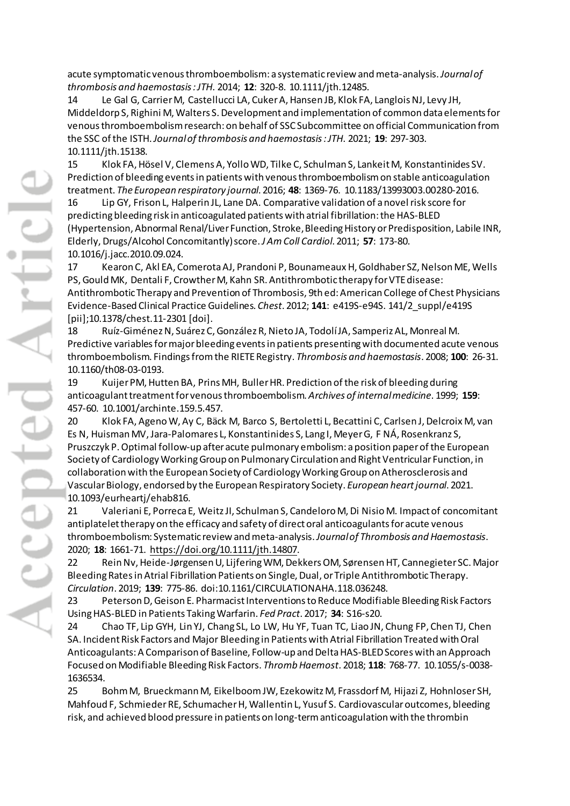acute symptomatic venous thromboembolism: a systematic review and meta-analysis. *Journal of thrombosis and haemostasis : JTH*. 2014; **12**: 320-8. 10.1111/jth.12485.

14 Le Gal G, Carrier M, Castellucci LA, Cuker A, Hansen JB, Klok FA, Langlois NJ, Levy JH, Middeldorp S, Righini M, Walters S. Development and implementation of common data elements for venous thromboembolism research: on behalf of SSC Subcommittee on official Communication from the SSC of the ISTH. *Journal of thrombosis and haemostasis : JTH*. 2021; **19**: 297-303. 10.1111/jth.15138.

15 Klok FA, Hösel V, Clemens A, Yollo WD, Tilke C, Schulman S, Lankeit M, Konstantinides SV. Prediction of bleeding events in patients with venous thromboembolism on stable anticoagulation treatment. *The European respiratory journal*. 2016; **48**: 1369-76. 10.1183/13993003.00280-2016.

16 Lip GY, Frison L, Halperin JL, Lane DA. Comparative validation of a novel risk score for predicting bleeding risk in anticoagulated patients with atrial fibrillation: the HAS-BLED (Hypertension, Abnormal Renal/Liver Function, Stroke, Bleeding History or Predisposition, Labile INR, Elderly, Drugs/Alcohol Concomitantly) score. *J Am Coll Cardiol*. 2011; **57**: 173-80. 10.1016/j.jacc.2010.09.024.

17 Kearon C, Akl EA, Comerota AJ, Prandoni P, Bounameaux H, Goldhaber SZ, Nelson ME, Wells PS, Gould MK, Dentali F, Crowther M, Kahn SR. Antithrombotic therapy for VTE disease: Antithrombotic Therapy and Prevention of Thrombosis, 9th ed: American College of Chest Physicians Evidence-Based Clinical Practice Guidelines. *Chest*. 2012; **141**: e419S-e94S. 141/2\_suppl/e419S [pii];10.1378/chest.11-2301 [doi].

18 Ruíz-Giménez N, Suárez C, González R, Nieto JA, Todolí JA, Samperiz AL, Monreal M. Predictive variables for major bleeding events in patients presenting with documented acute venous thromboembolism. Findings from the RIETE Registry. *Thrombosis and haemostasis*. 2008; **100**: 26-31. 10.1160/th08-03-0193.

19 Kuijer PM, Hutten BA, Prins MH, Buller HR. Prediction of the risk of bleeding during anticoagulant treatment for venous thromboembolism. *Archives of internal medicine*. 1999; **159**: 457-60. 10.1001/archinte.159.5.457.

20 Klok FA, Ageno W, Ay C, Bäck M, Barco S, Bertoletti L, Becattini C, Carlsen J, Delcroix M, van Es N, Huisman MV, Jara-Palomares L, Konstantinides S, Lang I, Meyer G, F NÁ, Rosenkranz S, Pruszczyk P. Optimal follow-up after acute pulmonary embolism: a position paper of the European Society of Cardiology Working Group on Pulmonary Circulation and Right Ventricular Function, in collaboration with the European Society of Cardiology Working Group on Atherosclerosis and Vascular Biology, endorsed by the European Respiratory Society. *European heart journal*. 2021. 10.1093/eurheartj/ehab816.

21 Valeriani E, Porreca E, Weitz JI, Schulman S, Candeloro M, Di Nisio M. Impact of concomitant antiplatelet therapy on the efficacy and safety of direct oral anticoagulants for acute venous thromboembolism: Systematic review and meta-analysis. *Journal of Thrombosis and Haemostasis*. 2020; **18**: 1661-71. [https://doi.org/10.1111/jth.14807.](https://doi.org/10.1111/jth.14807)

22 Rein Nv, Heide-Jørgensen U, Lijfering WM, Dekkers OM, Sørensen HT, Cannegieter SC. Major Bleeding Rates in Atrial Fibrillation Patients on Single, Dual, or Triple Antithrombotic Therapy. *Circulation*. 2019; **139**: 775-86. doi:10.1161/CIRCULATIONAHA.118.036248.

23 Peterson D, Geison E. Pharmacist Interventions to Reduce Modifiable Bleeding Risk Factors Using HAS-BLED in Patients Taking Warfarin. *Fed Pract*. 2017; **34**: S16-s20.

24 Chao TF, Lip GYH, Lin YJ, Chang SL, Lo LW, Hu YF, Tuan TC, Liao JN, Chung FP, Chen TJ, Chen SA. Incident Risk Factors and Major Bleeding in Patients with Atrial Fibrillation Treated with Oral Anticoagulants: A Comparison of Baseline, Follow-up and Delta HAS-BLED Scores with an Approach Focused on Modifiable Bleeding Risk Factors. *Thromb Haemost*. 2018; **118**: 768-77. 10.1055/s-0038- 1636534.

25 Bohm M, Brueckmann M, Eikelboom JW, Ezekowitz M, Frassdorf M, Hijazi Z, Hohnloser SH, Mahfoud F, Schmieder RE, Schumacher H, Wallentin L, Yusuf S. Cardiovascular outcomes, bleeding risk, and achieved blood pressure in patients on long-term anticoagulation with the thrombin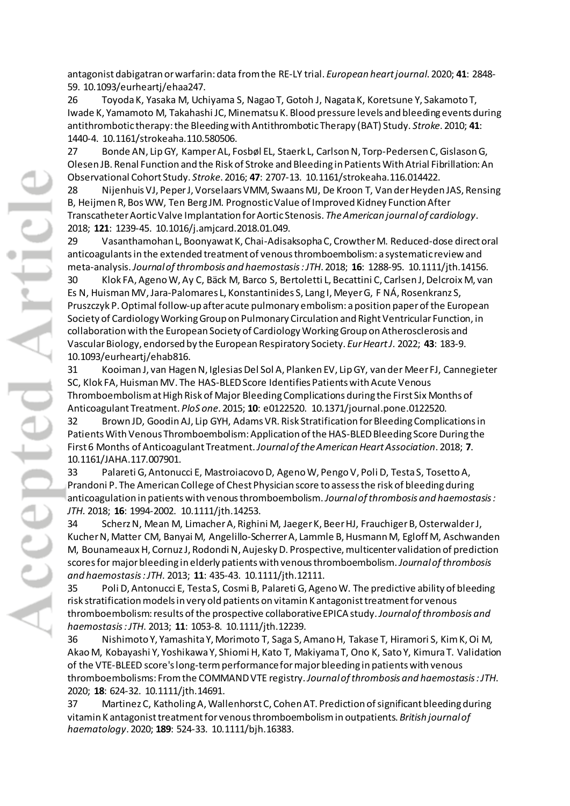antagonist dabigatran or warfarin: data from the RE-LY trial. *European heart journal*. 2020; **41**: 2848- 59. 10.1093/eurheartj/ehaa247.

26 Toyoda K, Yasaka M, Uchiyama S, Nagao T, Gotoh J, Nagata K, Koretsune Y, Sakamoto T, Iwade K, Yamamoto M, Takahashi JC, Minematsu K. Blood pressure levels and bleeding events during antithrombotic therapy: the Bleeding with Antithrombotic Therapy (BAT) Study. *Stroke*. 2010; **41**: 1440-4. 10.1161/strokeaha.110.580506.

27 Bonde AN, Lip GY, Kamper AL, Fosbøl EL, Staerk L, Carlson N, Torp-Pedersen C, Gislason G, Olesen JB. Renal Function and the Risk of Stroke and Bleeding in Patients With Atrial Fibrillation: An Observational Cohort Study. *Stroke*. 2016; **47**: 2707-13. 10.1161/strokeaha.116.014422.

28 Nijenhuis VJ, Peper J, Vorselaars VMM, Swaans MJ, De Kroon T, Van der Heyden JAS, Rensing B, Heijmen R, Bos WW, Ten Berg JM. Prognostic Value of Improved Kidney Function After Transcatheter Aortic Valve Implantation for Aortic Stenosis. *The American journal of cardiology*. 2018; **121**: 1239-45. 10.1016/j.amjcard.2018.01.049.

29 Vasanthamohan L, Boonyawat K, Chai-Adisaksopha C, Crowther M. Reduced-dose direct oral anticoagulants in the extended treatment of venous thromboembolism: a systematic review and meta-analysis. *Journal of thrombosis and haemostasis : JTH*. 2018; **16**: 1288-95. 10.1111/jth.14156.

30 Klok FA, Ageno W, Ay C, Bäck M, Barco S, Bertoletti L, Becattini C, Carlsen J, Delcroix M, van Es N, Huisman MV, Jara-Palomares L, Konstantinides S, Lang I, Meyer G, F NÁ, Rosenkranz S, Pruszczyk P. Optimal follow-up after acute pulmonary embolism: a position paper of the European Society of Cardiology Working Group on Pulmonary Circulation and Right Ventricular Function, in collaboration with the European Society of Cardiology Working Group on Atherosclerosis and Vascular Biology, endorsed by the European Respiratory Society. *Eur Heart J*. 2022; **43**: 183-9. 10.1093/eurheartj/ehab816.

31 Kooiman J, van Hagen N, Iglesias Del Sol A, Planken EV, Lip GY, van der Meer FJ, Cannegieter SC, Klok FA, Huisman MV. The HAS-BLED Score Identifies Patients with Acute Venous Thromboembolism at High Risk of Major Bleeding Complications during the First Six Months of Anticoagulant Treatment. *PloS one*. 2015; **10**: e0122520. 10.1371/journal.pone.0122520.

32 Brown JD, Goodin AJ, Lip GYH, Adams VR. Risk Stratification for Bleeding Complications in Patients With Venous Thromboembolism: Application of the HAS-BLED Bleeding Score During the First 6 Months of Anticoagulant Treatment. *Journal of the American Heart Association*. 2018; **7**. 10.1161/JAHA.117.007901.

33 Palareti G, Antonucci E, Mastroiacovo D, Ageno W, Pengo V, Poli D, Testa S, Tosetto A, Prandoni P. The American College of Chest Physician score to assess the risk of bleeding during anticoagulation in patients with venous thromboembolism. *Journal of thrombosis and haemostasis : JTH*. 2018; **16**: 1994-2002. 10.1111/jth.14253.

34 Scherz N, Mean M, Limacher A, Righini M, Jaeger K, Beer HJ, Frauchiger B, Osterwalder J, Kucher N, Matter CM, Banyai M, Angelillo-Scherrer A, Lammle B, Husmann M, Egloff M, Aschwanden M, Bounameaux H, Cornuz J, Rodondi N, Aujesky D. Prospective, multicenter validation of prediction scores for major bleeding in elderly patients with venous thromboembolism. *Journal of thrombosis and haemostasis : JTH*. 2013; **11**: 435-43. 10.1111/jth.12111.

35 Poli D, Antonucci E, Testa S, Cosmi B, Palareti G, Ageno W. The predictive ability of bleeding risk stratification models in very old patients on vitamin K antagonist treatment for venous thromboembolism: results of the prospective collaborative EPICA study. *Journal of thrombosis and haemostasis : JTH*. 2013; **11**: 1053-8. 10.1111/jth.12239.

36 Nishimoto Y, Yamashita Y, Morimoto T, Saga S, Amano H, Takase T, Hiramori S, Kim K, Oi M, Akao M, Kobayashi Y, Yoshikawa Y, Shiomi H, Kato T, Makiyama T, Ono K, Sato Y, Kimura T. Validation of the VTE-BLEED score's long-term performance for major bleeding in patients with venous thromboembolisms: From the COMMAND VTE registry. *Journal of thrombosis and haemostasis : JTH*. 2020; **18**: 624-32. 10.1111/jth.14691.

37 Martinez C, Katholing A, Wallenhorst C, Cohen AT. Prediction of significant bleeding during vitamin K antagonist treatment for venous thromboembolism in outpatients. *British journal of haematology*. 2020; **189**: 524-33. 10.1111/bjh.16383.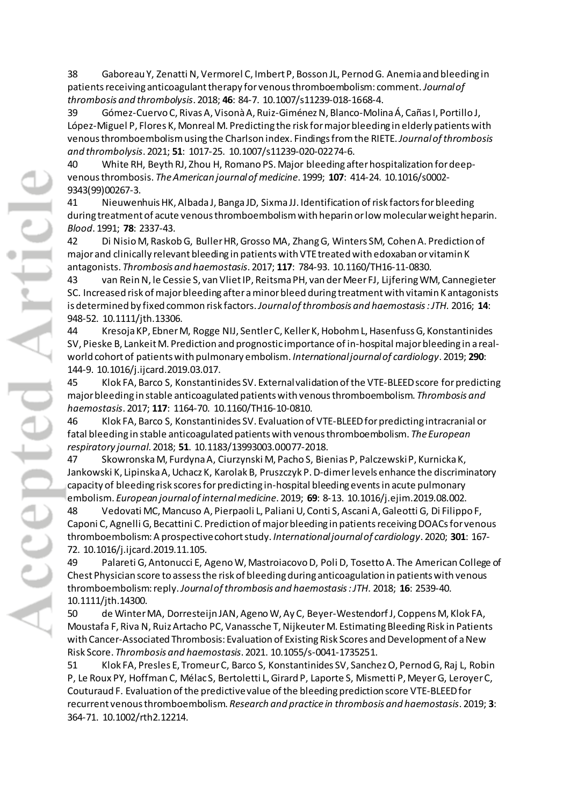38 Gaboreau Y, Zenatti N, Vermorel C, Imbert P, Bosson JL, Pernod G. Anemia and bleeding in patients receiving anticoagulant therapy for venous thromboembolism: comment. *Journal of thrombosis and thrombolysis*. 2018; **46**: 84-7. 10.1007/s11239-018-1668-4.

39 Gómez-Cuervo C, Rivas A, Visonà A, Ruiz-Giménez N, Blanco-Molina Á, Cañas I, Portillo J, López-Miguel P, Flores K, Monreal M. Predicting the risk for major bleeding in elderly patients with venous thromboembolism using the Charlson index. Findings from the RIETE. *Journal of thrombosis and thrombolysis*. 2021; **51**: 1017-25. 10.1007/s11239-020-02274-6.

40 White RH, Beyth RJ, Zhou H, Romano PS. Major bleeding after hospitalization for deepvenous thrombosis. *The American journal of medicine*. 1999; **107**: 414-24. 10.1016/s0002- 9343(99)00267-3.

41 Nieuwenhuis HK, Albada J, Banga JD, Sixma JJ. Identification of risk factors for bleeding during treatment of acute venous thromboembolism with heparin or low molecular weight heparin. *Blood*. 1991; **78**: 2337-43.

42 Di Nisio M, Raskob G, Buller HR, Grosso MA, Zhang G, Winters SM, Cohen A. Prediction of major and clinically relevant bleeding in patients with VTE treated with edoxaban or vitamin K antagonists. *Thrombosis and haemostasis*. 2017; **117**: 784-93. 10.1160/TH16-11-0830.

43 van Rein N, le Cessie S, van Vliet IP, Reitsma PH, van der Meer FJ, Lijfering WM, Cannegieter SC. Increased risk of major bleeding after a minor bleed during treatment with vitamin K antagonists is determined by fixed common risk factors. *Journal of thrombosis and haemostasis : JTH*. 2016; **14**: 948-52. 10.1111/jth.13306.

44 Kresoja KP, Ebner M, Rogge NIJ, Sentler C, Keller K, Hobohm L, Hasenfuss G, Konstantinides SV, Pieske B, Lankeit M. Prediction and prognostic importance of in-hospital major bleeding in a realworld cohort of patients with pulmonary embolism. *International journal of cardiology*. 2019; **290**: 144-9. 10.1016/j.ijcard.2019.03.017.

45 Klok FA, Barco S, Konstantinides SV. External validation of the VTE-BLEED score for predicting major bleeding in stable anticoagulated patients with venous thromboembolism. *Thrombosis and haemostasis*. 2017; **117**: 1164-70. 10.1160/TH16-10-0810.

46 Klok FA, Barco S, Konstantinides SV. Evaluation of VTE-BLEED for predicting intracranial or fatal bleeding in stable anticoagulated patients with venous thromboembolism. *The European respiratory journal*. 2018; **51**. 10.1183/13993003.00077-2018.

47 Skowronska M, Furdyna A, Ciurzynski M, Pacho S, Bienias P, Palczewski P, Kurnicka K, Jankowski K, Lipinska A, Uchacz K, Karolak B, Pruszczyk P. D-dimer levels enhance the discriminatory capacity of bleeding risk scores for predicting in-hospital bleeding events in acute pulmonary embolism. *European journal of internal medicine*. 2019; **69**: 8-13. 10.1016/j.ejim.2019.08.002.

48 Vedovati MC, Mancuso A, Pierpaoli L, Paliani U, Conti S, Ascani A, Galeotti G, Di Filippo F, Caponi C, Agnelli G, Becattini C. Prediction of major bleeding in patients receiving DOACs for venous thromboembolism: A prospective cohort study. *International journal of cardiology*. 2020; **301**: 167- 72. 10.1016/j.ijcard.2019.11.105.

49 Palareti G, Antonucci E, Ageno W, Mastroiacovo D, Poli D, Tosetto A. The American College of Chest Physician score to assess the risk of bleeding during anticoagulation in patients with venous thromboembolism: reply. *Journal of thrombosis and haemostasis : JTH*. 2018; **16**: 2539-40. 10.1111/jth.14300.

50 de Winter MA, Dorresteijn JAN, Ageno W, Ay C, Beyer-Westendorf J, Coppens M, Klok FA, Moustafa F, Riva N, Ruiz Artacho PC, Vanassche T, Nijkeuter M. Estimating Bleeding Risk in Patients with Cancer-Associated Thrombosis: Evaluation of Existing Risk Scores and Development of a New Risk Score. *Thrombosis and haemostasis*. 2021. 10.1055/s-0041-1735251.

51 Klok FA, Presles E, Tromeur C, Barco S, Konstantinides SV, Sanchez O, Pernod G, Raj L, Robin P, Le Roux PY, Hoffman C, Mélac S, Bertoletti L, Girard P, Laporte S, Mismetti P, Meyer G, Leroyer C, Couturaud F. Evaluation of the predictive value of the bleeding prediction score VTE-BLEED for recurrent venous thromboembolism. *Research and practice in thrombosis and haemostasis*. 2019; **3**: 364-71. 10.1002/rth2.12214.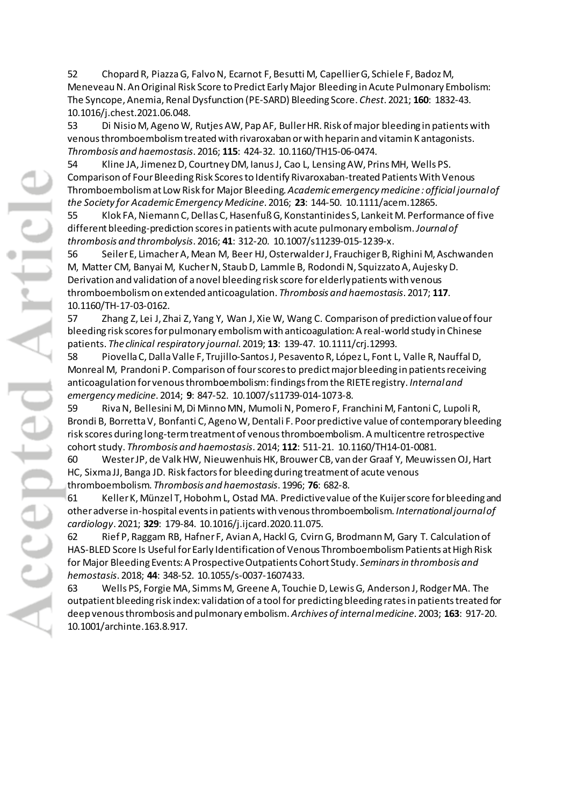52 Chopard R, Piazza G, Falvo N, Ecarnot F, Besutti M, Capellier G, Schiele F, Badoz M, Meneveau N. An Original Risk Score to Predict Early Major Bleeding in Acute Pulmonary Embolism: The Syncope, Anemia, Renal Dysfunction (PE-SARD) Bleeding Score. *Chest*. 2021; **160**: 1832-43. 10.1016/j.chest.2021.06.048.

53 Di Nisio M, Ageno W, Rutjes AW, Pap AF, Buller HR. Risk of major bleeding in patients with venous thromboembolism treated with rivaroxaban or with heparin and vitamin K antagonists. *Thrombosis and haemostasis*. 2016; **115**: 424-32. 10.1160/TH15-06-0474.

54 Kline JA, Jimenez D, Courtney DM, Ianus J, Cao L, Lensing AW, Prins MH, Wells PS. Comparison of Four Bleeding Risk Scores to Identify Rivaroxaban-treated Patients With Venous Thromboembolism at Low Risk for Major Bleeding. *Academic emergency medicine : official journal of the Society for Academic Emergency Medicine*. 2016; **23**: 144-50. 10.1111/acem.12865.

55 Klok FA, Niemann C, Dellas C, Hasenfuß G, Konstantinides S, Lankeit M. Performance of five different bleeding-prediction scores in patients with acute pulmonary embolism. *Journal of thrombosis and thrombolysis*. 2016; **41**: 312-20. 10.1007/s11239-015-1239-x.

56 Seiler E, Limacher A, Mean M, Beer HJ, Osterwalder J, Frauchiger B, Righini M, Aschwanden M, Matter CM, Banyai M, Kucher N, Staub D, Lammle B, Rodondi N, Squizzato A, Aujesky D. Derivation and validation of a novel bleeding risk score for elderly patients with venous thromboembolism on extended anticoagulation. *Thrombosis and haemostasis*. 2017; **117**. 10.1160/TH-17-03-0162.

57 Zhang Z, Lei J, Zhai Z, Yang Y, Wan J, Xie W, Wang C. Comparison of prediction value of four bleeding risk scores for pulmonary embolism with anticoagulation: A real-world study in Chinese patients. *The clinical respiratory journal*. 2019; **13**: 139-47. 10.1111/crj.12993.

58 Piovella C, Dalla Valle F, Trujillo-Santos J, Pesavento R, López L, Font L, Valle R, Nauffal D, Monreal M, Prandoni P. Comparison of four scores to predict major bleeding in patients receiving anticoagulation for venous thromboembolism: findings from the RIETE registry. *Internal and emergency medicine*. 2014; **9**: 847-52. 10.1007/s11739-014-1073-8.

59 Riva N, Bellesini M, Di Minno MN, Mumoli N, Pomero F, Franchini M, Fantoni C, Lupoli R, Brondi B, Borretta V, Bonfanti C, Ageno W, Dentali F. Poor predictive value of contemporary bleeding risk scores during long-term treatment of venous thromboembolism. A multicentre retrospective cohort study. *Thrombosis and haemostasis*. 2014; **112**: 511-21. 10.1160/TH14-01-0081.

60 Wester JP, de Valk HW, Nieuwenhuis HK, Brouwer CB, van der Graaf Y, Meuwissen OJ, Hart HC, Sixma JJ, Banga JD. Risk factors for bleeding during treatment of acute venous thromboembolism. *Thrombosis and haemostasis*. 1996; **76**: 682-8.

61 Keller K, Münzel T, Hobohm L, Ostad MA. Predictive value of the Kuijer score for bleeding and other adverse in-hospital events in patients with venous thromboembolism. *International journal of cardiology*. 2021; **329**: 179-84. 10.1016/j.ijcard.2020.11.075.

62 Rief P, Raggam RB, Hafner F, Avian A, Hackl G, Cvirn G, Brodmann M, Gary T. Calculation of HAS-BLED Score Is Useful for Early Identification of Venous Thromboembolism Patients at High Risk for Major Bleeding Events: A Prospective Outpatients Cohort Study. *Seminars in thrombosis and hemostasis*. 2018; **44**: 348-52. 10.1055/s-0037-1607433.

63 Wells PS, Forgie MA, Simms M, Greene A, Touchie D, Lewis G, Anderson J, Rodger MA. The outpatient bleeding risk index: validation of a tool for predicting bleeding rates in patients treated for deep venous thrombosis and pulmonary embolism. *Archives of internal medicine*. 2003; **163**: 917-20. 10.1001/archinte.163.8.917.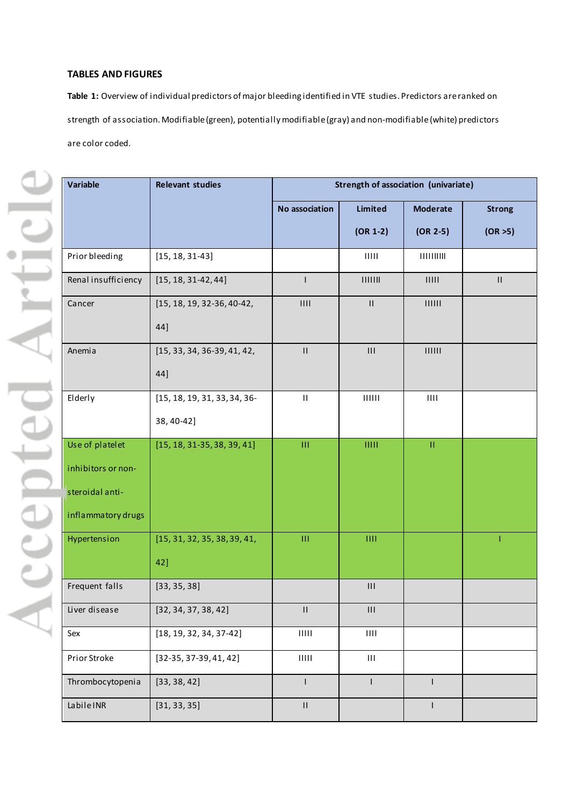# **TABLES AND FIGURES**

**Table 1:** Overview of individual predictors of major bleeding identified in VTE studies. Predictors are ranked on strength of association. Modifiable (green), potentially modifiable (gray) and non-modifiable (white) predictors are color coded.

| Variable            | <b>Relevant studies</b>       | Strength of association (univariate)           |                                                                  |                                                                  |               |  |  |  |  |
|---------------------|-------------------------------|------------------------------------------------|------------------------------------------------------------------|------------------------------------------------------------------|---------------|--|--|--|--|
|                     |                               | No association                                 | Limited                                                          | <b>Moderate</b>                                                  | <b>Strong</b> |  |  |  |  |
|                     |                               |                                                | $(OR 1-2)$                                                       | $(OR 2-5)$                                                       | (OR > 5)      |  |  |  |  |
| Prior bleeding      | $[15, 18, 31-43]$             |                                                | $\vert\vert\vert\vert\vert\vert\vert$                            |                                                                  |               |  |  |  |  |
| Renal insufficiency | $[15, 18, 31-42, 44]$         | $\mathsf{I}$                                   |                                                                  | 11111                                                            | $\mathbf{H}$  |  |  |  |  |
| Cancer              | [15, 18, 19, 32-36, 40-42,    | $\mathop{\rm H}\nolimits$                      | $\ensuremath{\mathsf{H}}$                                        |                                                                  |               |  |  |  |  |
|                     | 44]                           |                                                |                                                                  |                                                                  |               |  |  |  |  |
| Anemia              | $[15, 33, 34, 36-39, 41, 42,$ | $\ensuremath{\mathsf{H}}$                      | $\ensuremath{\mathsf{III}}\xspace$                               | $\mbox{H\hspace{-.1em}I\hspace{-.1em}I} \mbox{H\hspace{-.1em}I}$ |               |  |  |  |  |
|                     | 44]                           |                                                |                                                                  |                                                                  |               |  |  |  |  |
| Elderly             | [15, 18, 19, 31, 33, 34, 36-  | $\sf H$                                        | $\mbox{H\hspace{-.1em}I\hspace{-.1em}I} \mbox{H\hspace{-.1em}I}$ | $\mathop{\rm H}\nolimits\mathop{\rm H}\nolimits$                 |               |  |  |  |  |
|                     | 38, 40-42]                    |                                                |                                                                  |                                                                  |               |  |  |  |  |
| Use of platelet     | $[15, 18, 31-35, 38, 39, 41]$ | Ш                                              | HIII                                                             | $\rm H$                                                          |               |  |  |  |  |
| inhibitors or non-  |                               |                                                |                                                                  |                                                                  |               |  |  |  |  |
| steroidal anti-     |                               |                                                |                                                                  |                                                                  |               |  |  |  |  |
| inflammatory drugs  |                               |                                                |                                                                  |                                                                  |               |  |  |  |  |
| Hypertension        | [15, 31, 32, 35, 38, 39, 41,  | Ш                                              | III                                                              |                                                                  |               |  |  |  |  |
|                     | 42]                           |                                                |                                                                  |                                                                  |               |  |  |  |  |
| Frequent falls      | [33, 35, 38]                  |                                                | $\ensuremath{\mathsf{III}}\xspace$                               |                                                                  |               |  |  |  |  |
| Liver disease       | [32, 34, 37, 38, 42]          | $\sf II$                                       | $\ensuremath{\mathsf{III}}\xspace$                               |                                                                  |               |  |  |  |  |
| Sex                 | $[18, 19, 32, 34, 37-42]$     | $\mathop{\rm H\hspace{-.1em}H\hspace{-.1em}H}$ | $\mathsf{H}\mathsf{H}$                                           |                                                                  |               |  |  |  |  |
| Prior Stroke        | $[32-35, 37-39, 41, 42]$      | $\rm H\rm HI$                                  | $\mathsf{III}\xspace$                                            |                                                                  |               |  |  |  |  |
| Thrombocytopenia    | [33, 38, 42]                  | I                                              | $\mathsf{I}$                                                     | T                                                                |               |  |  |  |  |
| LabileINR           | [31, 33, 35]                  | $\sf H$                                        |                                                                  | L                                                                |               |  |  |  |  |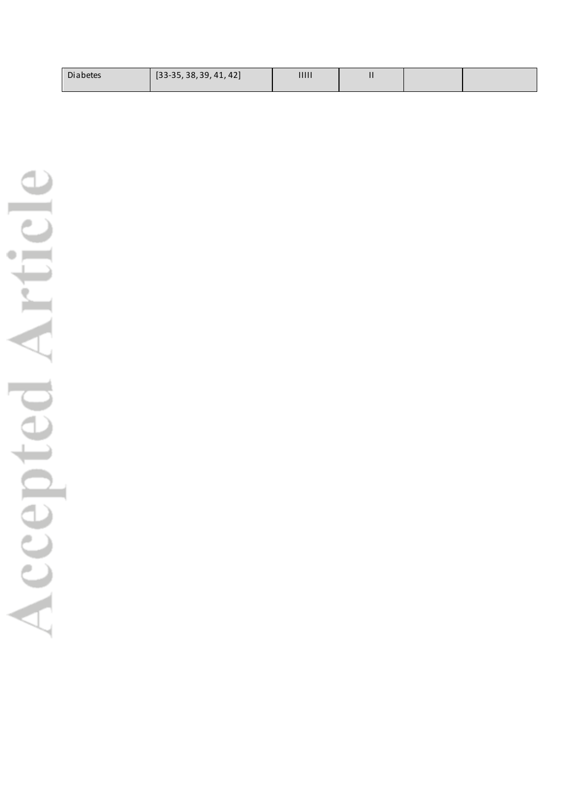| $[33-35, 38, 39, 41, 42]$<br><b>Diabetes</b> | 11111 | Ш |  |  |
|----------------------------------------------|-------|---|--|--|
|----------------------------------------------|-------|---|--|--|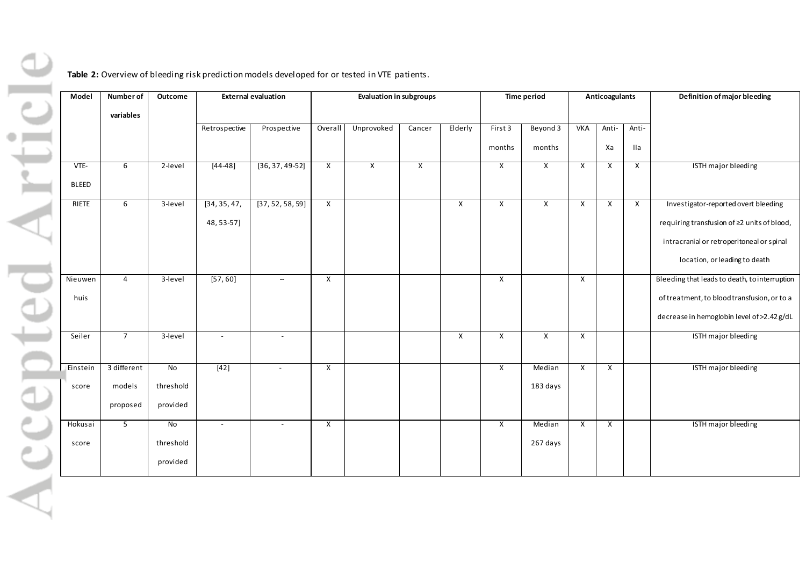rticle **Table 2:** Overview of bleeding risk prediction models developed for or tested in VTE patients. **Model Number of Outcome** External evaluation **External evaluation** Evaluation in subgroups **Time period** Anticoagulants Definition of major bleeding **variables** Retrospective Prospective Overall Unprovoked Cancer Elderly First 3 Beyond 3 VKA Anti-Antimonths months Xa IIa VTE-6 2-level [44-48] [36, 37, 49-52] X X X X X X X X ISTH major bleeding BLEED RIETE 6 3-level [34, 35, 47, [37, 52, 58, 59] X X X X X X Investigator-reported overt bleeding 48, 53-57] requiring transfusion of ≥2 units of blood, intracranial or retroperitoneal or spinal location, or leading to death 4 3-level [57, 60] - X X X X X Bleeding that leads to death, to interruption Nieuwen huis of treatment, to blood transfusion, or to a decrease in hemoglobin level of >2.42 g/dL Seiler 7 3-level - - X X X X ISTH major bleeding 3 different No X X X ISTH major bleeding Einstein [42] **| - | X | | | | X | Median** models threshold 183 days score proposed provided Hokusai 5 No X X ISTH major bleeding - | - | X | | | | X | Median  $\Delta$ C threshold 267 days score provided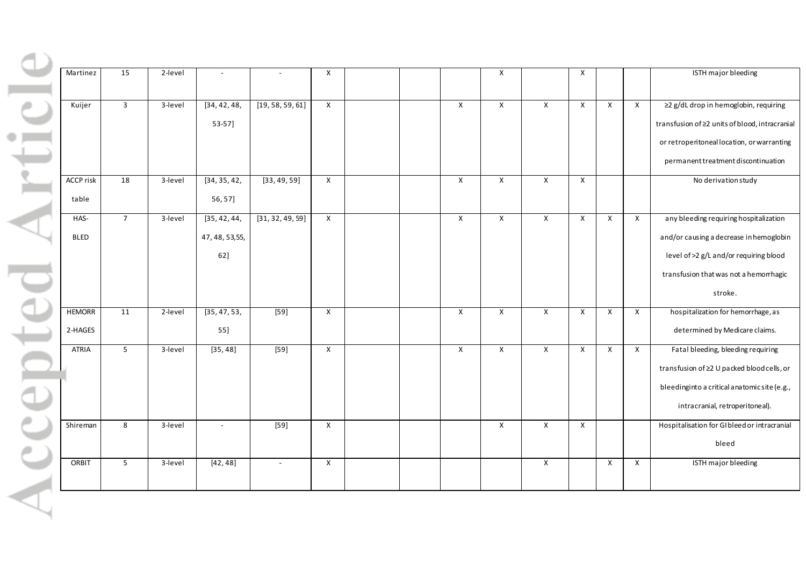| table | Kuijer<br><b>ACCP</b> risk<br>18 | $\overline{3}$<br>3-level<br>3-level | [34, 42, 48,<br>53-57]   | [19, 58, 59, 61]         | $\mathsf{X}$            |  | $\pmb{\mathsf{X}}$ | X              | X                  | $\mathsf{x}$ | $\mathsf{X}$            | $\mathsf{X}$ | ≥2 g/dL drop in hemoglobin, requiring          |
|-------|----------------------------------|--------------------------------------|--------------------------|--------------------------|-------------------------|--|--------------------|----------------|--------------------|--------------|-------------------------|--------------|------------------------------------------------|
|       |                                  |                                      |                          |                          |                         |  |                    |                |                    |              |                         |              |                                                |
|       |                                  |                                      |                          |                          |                         |  |                    |                |                    |              |                         |              |                                                |
|       |                                  |                                      |                          |                          |                         |  |                    |                |                    |              |                         |              | transfusion of ≥2 units of blood, intracranial |
|       |                                  |                                      |                          |                          |                         |  |                    |                |                    |              |                         |              | or retroperitoneal location, or warranting     |
|       |                                  |                                      |                          |                          |                         |  |                    |                |                    |              |                         |              | permanent treatment discontinuation            |
|       |                                  |                                      | [34, 35, 42,             | [33, 49, 59]             | $\mathsf{X}$            |  | $\mathsf{x}$       | X              | $\mathsf{x}$       | $\mathsf{X}$ |                         |              | No derivation study                            |
|       |                                  |                                      | 56, 57]                  |                          |                         |  |                    |                |                    |              |                         |              |                                                |
|       | HAS-                             | $\overline{7}$<br>3-level            | [35, 42, 44]             | [31, 32, 49, 59]         | $\mathsf{X}$            |  | $\mathsf{x}$       | $\mathsf{X}$   | X                  | $\mathsf{x}$ | $\mathsf{X}$            | $\mathsf{x}$ | any bleeding requiring hospitalization         |
|       | <b>BLED</b>                      |                                      | 47, 48, 53, 55,          |                          |                         |  |                    |                |                    |              |                         |              | and/or causing a decrease in hemoglobin        |
|       |                                  |                                      | 62]                      |                          |                         |  |                    |                |                    |              |                         |              | level of >2 g/L and/or requiring blood         |
|       |                                  |                                      |                          |                          |                         |  |                    |                |                    |              |                         |              | transfusion that was not a hemorrhagic         |
|       |                                  |                                      |                          |                          |                         |  |                    |                |                    |              |                         |              | stroke.                                        |
|       | <b>HEMORR</b><br>11              | 2-level                              | [35, 47, 53,             | $[59]$                   | $\overline{\mathsf{x}}$ |  | X                  | $\overline{X}$ | X                  | $\mathsf{X}$ | $\overline{\mathsf{x}}$ | X            | hospitalization for hemorrhage, as             |
|       | 2-HAGES                          |                                      | 55]                      |                          |                         |  |                    |                |                    |              |                         |              | determined by Medicare claims.                 |
|       | <b>ATRIA</b>                     | 5 <sup>5</sup><br>3-level            | [35, 48]                 | $[59]$                   | $\overline{\mathsf{x}}$ |  | $\mathsf{X}$       | $\mathsf{X}$   | X                  | $\mathsf{x}$ | $\overline{\mathsf{x}}$ | $\mathsf X$  | Fatal bleeding, bleeding requiring             |
|       |                                  |                                      |                          |                          |                         |  |                    |                |                    |              |                         |              | transfusion of ≥2 U packed blood cells, or     |
|       |                                  |                                      |                          |                          |                         |  |                    |                |                    |              |                         |              | bleedinginto a critical anatomic site (e.g.,   |
|       |                                  |                                      |                          |                          |                         |  |                    |                |                    |              |                         |              | intracranial, retroperitoneal).                |
|       | Shireman<br>8                    | 3-level                              | $\overline{\phantom{a}}$ | $[59]$                   | $\pmb{\mathsf{X}}$      |  |                    | X              | $\pmb{\mathsf{X}}$ | $\mathsf{X}$ |                         |              | Hospitalisation for GIbleed or intracranial    |
|       |                                  |                                      |                          |                          |                         |  |                    |                |                    |              |                         |              | bleed                                          |
|       | ORBIT                            | $\overline{\mathbf{5}}$<br>3-level   | [42, 48]                 | $\overline{\phantom{a}}$ | $\mathsf X$             |  |                    |                | $\pmb{\mathsf{X}}$ |              | $\mathsf{X}$            | X            | ISTH major bleeding                            |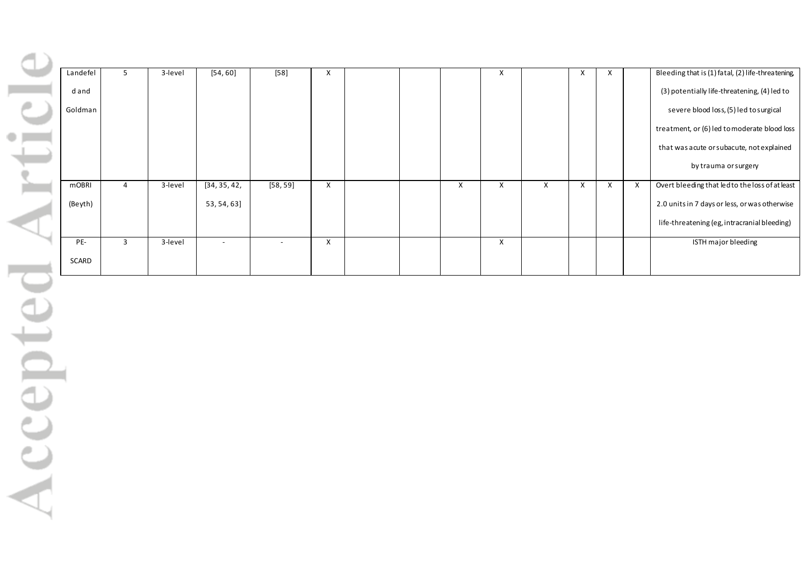| Landefel     |   | 3-level | [54, 60]                 | $[58]$                   | X |  |   | х |   | $\mathsf{x}$ | X |   | Bleeding that is (1) fatal, (2) life-threatening |
|--------------|---|---------|--------------------------|--------------------------|---|--|---|---|---|--------------|---|---|--------------------------------------------------|
| dand         |   |         |                          |                          |   |  |   |   |   |              |   |   | (3) potentially life-threatening, (4) led to     |
| Goldman      |   |         |                          |                          |   |  |   |   |   |              |   |   | severe blood loss, (5) led to surgical           |
|              |   |         |                          |                          |   |  |   |   |   |              |   |   | treatment, or (6) led to moderate blood loss     |
|              |   |         |                          |                          |   |  |   |   |   |              |   |   | that was acute or subacute, not explained        |
|              |   |         |                          |                          |   |  |   |   |   |              |   |   | by trauma or surgery                             |
| <b>mOBRI</b> | 4 | 3-level | [34, 35, 42,             | [58, 59]                 | X |  | X | Χ | X | $\times$     | X | X | Overt bleeding that led to the loss of at least  |
| (Beyth)      |   |         | 53, 54, 63]              |                          |   |  |   |   |   |              |   |   | 2.0 units in 7 days or less, or was otherwise    |
|              |   |         |                          |                          |   |  |   |   |   |              |   |   | life-threatening (eg, intracranial bleeding)     |
| PE-          | 3 | 3-level | $\overline{\phantom{0}}$ | $\overline{\phantom{a}}$ | X |  |   | X |   |              |   |   | ISTH major bleeding                              |
| SCARD        |   |         |                          |                          |   |  |   |   |   |              |   |   |                                                  |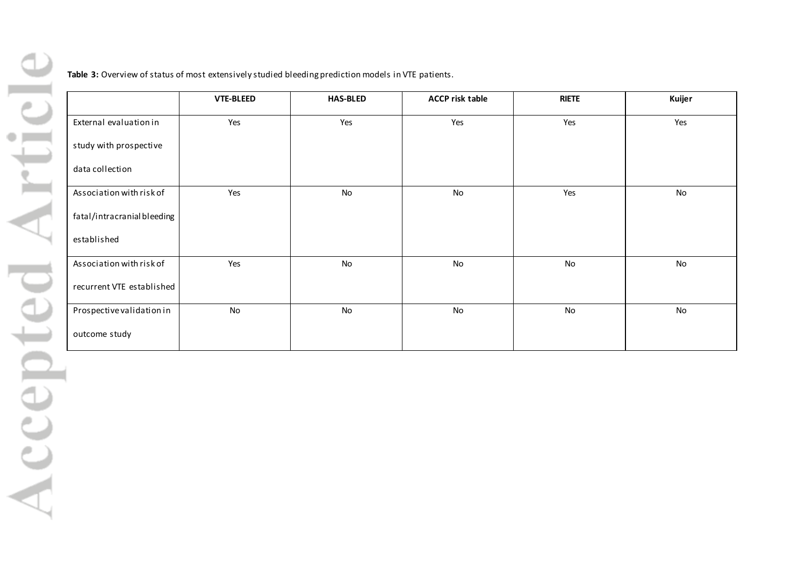**Table 3:** Overview of status of most extensively studied bleeding prediction models in VTE patients.

|                            | <b>VTE-BLEED</b> | <b>HAS-BLED</b> | <b>ACCP risk table</b> | <b>RIETE</b> | Kuijer |
|----------------------------|------------------|-----------------|------------------------|--------------|--------|
| External evaluation in     | Yes              | Yes             | Yes                    | Yes          | Yes    |
| study with prospective     |                  |                 |                        |              |        |
| data collection            |                  |                 |                        |              |        |
| Association with risk of   | Yes              | No              | No                     | Yes          | No     |
| fatal/intracranialbleeding |                  |                 |                        |              |        |
| established                |                  |                 |                        |              |        |
| Association with risk of   | Yes              | No              | No                     | No           | No     |
| recurrent VTE established  |                  |                 |                        |              |        |
| Prospective validation in  | No               | No              | No                     | No           | No     |
| outcome study              |                  |                 |                        |              |        |